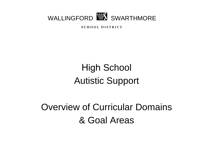

**S C H O O L D I S T R I C T**

# High School Autistic Support

# Overview of Curricular Domains & Goal Areas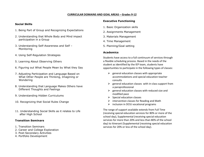#### **CURRICULAR DOMAINS AND GOAL AREAS – Grades 9-12**

#### **Social Skills**

- 1. Being Part of Group and Recognizing Expectations
- 2. Understanding that Whole Body and Mind impact participation in a Group
- 3. Understanding Self-Awareness and Self Monitoring
- 4. Using Self-Regulation Strategies
- 5. Learning About Observing Others
- 6. Figuring out What People Mean by What they Say
- 7. Adjusting Participation and Language Based on What Other People are Thinking, Imagining or Wondering
- 8. Understanding that Language Makes Others have Different Thoughts and Feelings
- 9. Understanding Hidden Curriculums
- 10. Recognizing that Social Rules Change
- 11. Understanding Social Skills as it relates to Life after High School

#### **Transition Seminars**

- 1. Transition Seminars
- 2. Career and College Exploration
- 3. Post-Secondary Activities
- 4. Portfolio Development

#### **Executive Functioning**

- 1. Basic Organization skills
- 2. Assignments Management
- 3. Materials Management
- 4. Time Management
- 5. Planning/Goal setting

#### **Academics**

Students have access to a full continuum of services through a flexible scheduling process. Based in the needs of the student as identified by the IEP team, students have opportunities to participate in the following types of classes:

- $\triangleright$  general education classes with appropriate accommodations and special education teacher consults
- $\triangleright$  general education classes with in-class support from a paraprofessional
- $\triangleright$  general education classes with reduced size and modified pace
- $\triangleright$  Special education classes
- $\triangleright$  intervention classes for Reading and Math
- $\triangleright$  inclusion in DCIU vocational programs

The range of support available extends from Full Time (receiving special education services for 80% or more of the school day), Supplemental (receiving special education services for more than 20% and less than 80% of the school day) to Itinerant (Supplemental (receiving special education services for 20% or less of the school day).